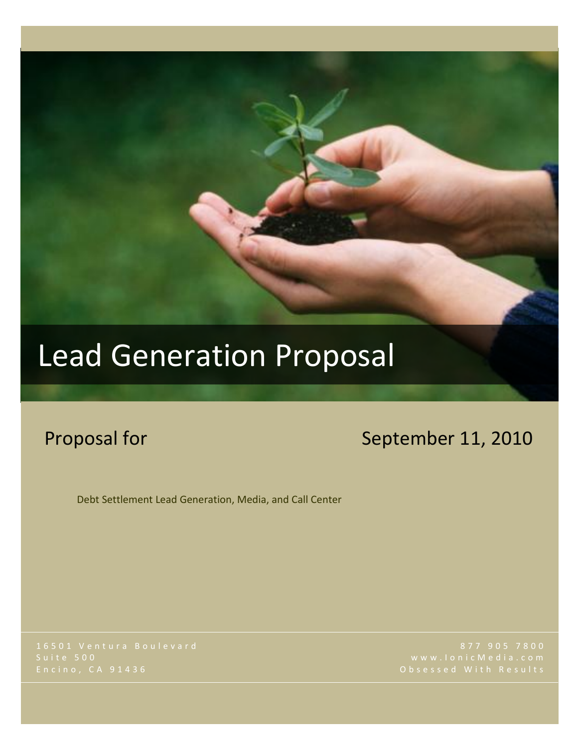# Lead Generation Proposal

## Proposal for September 11, 2010

Debt Settlement Lead Generation, Media, and Call Center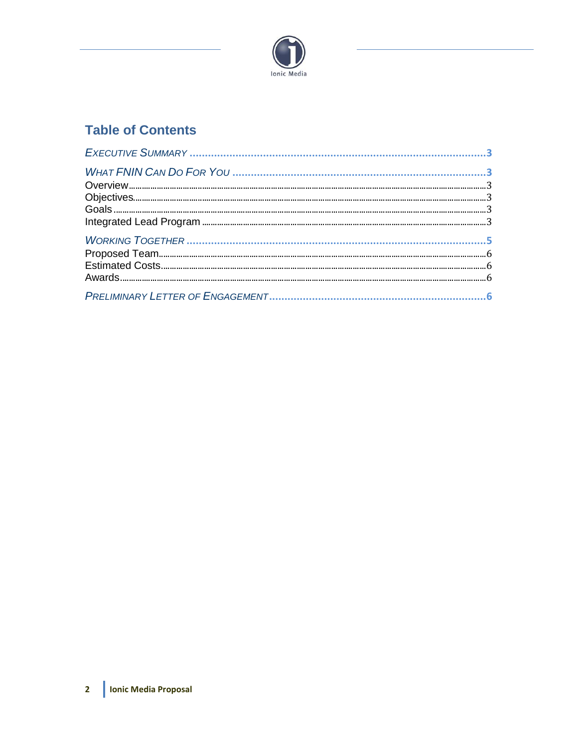

### **Table of Contents**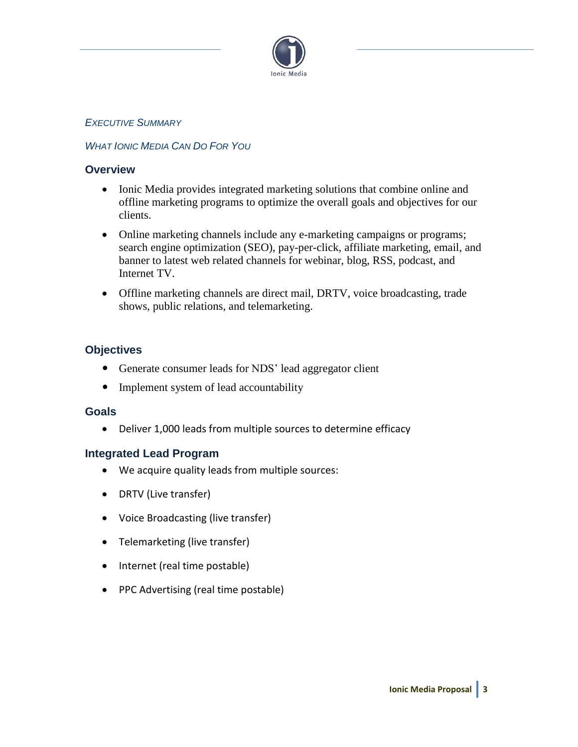

#### *EXECUTIVE SUMMARY*

#### *WHAT IONIC MEDIA CAN DO FOR YOU*

#### **Overview**

- Ionic Media provides integrated marketing solutions that combine online and offline marketing programs to optimize the overall goals and objectives for our clients.
- Online marketing channels include any e-marketing campaigns or programs; search engine optimization (SEO), pay-per-click, affiliate marketing, email, and banner to latest web related channels for webinar, blog, RSS, podcast, and Internet TV.
- Offline marketing channels are direct mail, DRTV, voice broadcasting, trade shows, public relations, and telemarketing.

#### **Objectives**

- Generate consumer leads for NDS' lead aggregator client
- Implement system of lead accountability

#### **Goals**

Deliver 1,000 leads from multiple sources to determine efficacy

#### **Integrated Lead Program**

- We acquire quality leads from multiple sources:
- DRTV (Live transfer)
- Voice Broadcasting (live transfer)
- Telemarketing (live transfer)
- Internet (real time postable)
- PPC Advertising (real time postable)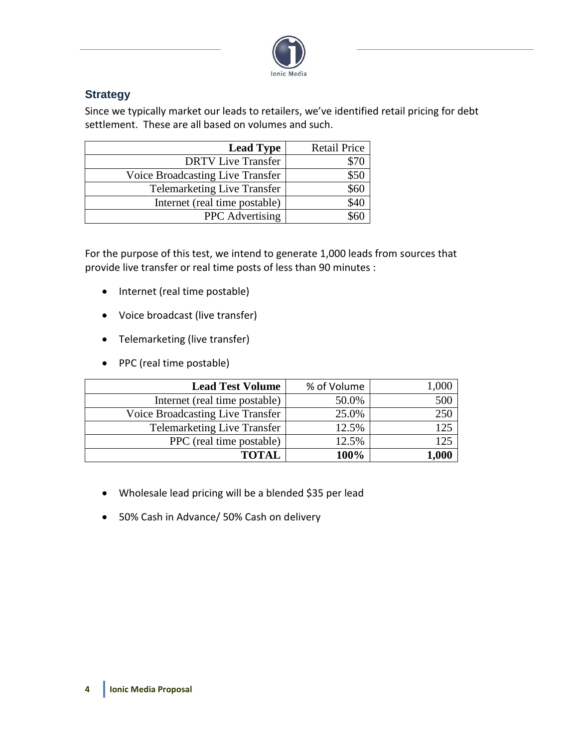

#### **Strategy**

Since we typically market our leads to retailers, we've identified retail pricing for debt settlement. These are all based on volumes and such.

| <b>Lead Type</b>                   | <b>Retail Price</b> |
|------------------------------------|---------------------|
| <b>DRTV</b> Live Transfer          |                     |
| Voice Broadcasting Live Transfer   |                     |
| <b>Telemarketing Live Transfer</b> |                     |
| Internet (real time postable)      |                     |
| <b>PPC</b> Advertising             |                     |

For the purpose of this test, we intend to generate 1,000 leads from sources that provide live transfer or real time posts of less than 90 minutes :

- Internet (real time postable)
- Voice broadcast (live transfer)
- Telemarketing (live transfer)
- PPC (real time postable)

| <b>Lead Test Volume</b>            | % of Volume | 000.1 |
|------------------------------------|-------------|-------|
| Internet (real time postable)      | 50.0%       | 500   |
| Voice Broadcasting Live Transfer   | 25.0%       | 250   |
| <b>Telemarketing Live Transfer</b> | 12.5%       | 125   |
| PPC (real time postable)           | 12.5%       | 125   |
| <b>TOTAL</b>                       | 100%        | ,000  |

- Wholesale lead pricing will be a blended \$35 per lead
- 50% Cash in Advance/ 50% Cash on delivery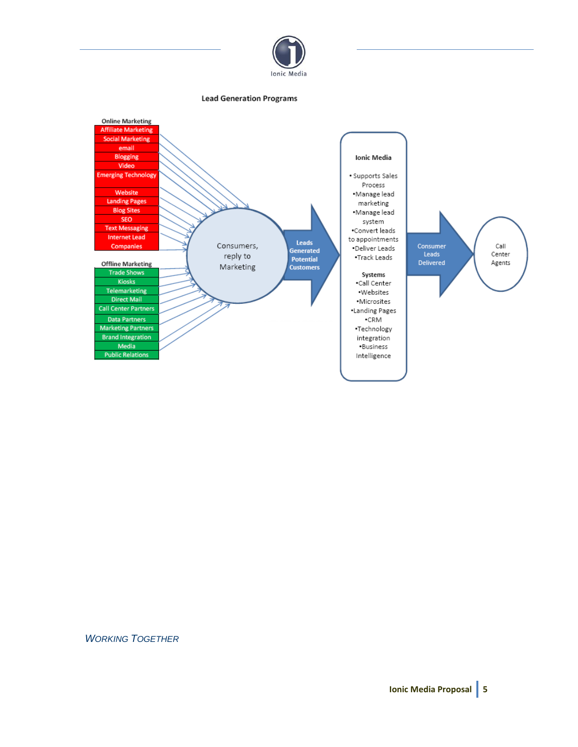

#### **Lead Generation Programs**



#### *WORKING TOGETHER*